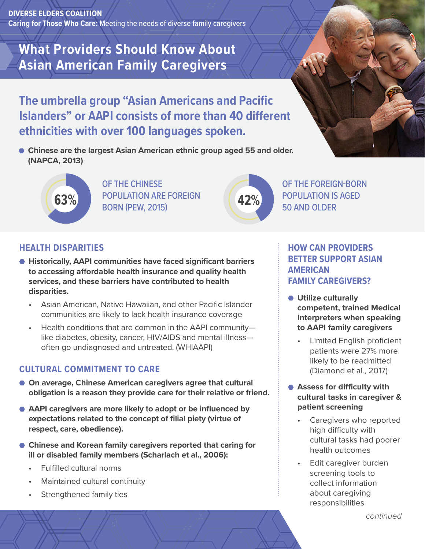**DIVERSE ELDERS COALITION Caring for Those Who Care:** Meeting the needs of diverse family caregivers

# **What Providers Should Know About Asian American Family Caregivers**

**The umbrella group "Asian Americans and Pacific Islanders" or AAPI consists of more than 40 different ethnicities with over 100 languages spoken.** 

**Chinese are the largest Asian American ethnic group aged 55 and older. (NAPCA, 2013)**



OF THE CHINESE **63%** POPULATION ARE FOREIGN **42%** BORN (PEW, 2015)



OF THE FOREIGN-BORN POPULATION IS AGED 50 AND OLDER

## **HEALTH DISPARITIES**

- **Historically, AAPI communities have faced significant barriers to accessing affordable health insurance and quality health services, and these barriers have contributed to health disparities.** 
	- Asian American, Native Hawaiian, and other Pacific Islander communities are likely to lack health insurance coverage
	- Health conditions that are common in the AAPI community like diabetes, obesity, cancer, HIV/AIDS and mental illness often go undiagnosed and untreated. (WHIAAPI)

#### **CULTURAL COMMITMENT TO CARE**

- On average, Chinese American caregivers agree that cultural **obligation is a reason they provide care for their relative or friend.**
- **AAPI caregivers are more likely to adopt or be influenced by expectations related to the concept of filial piety (virtue of respect, care, obedience).**
- **Chinese and Korean family caregivers reported that caring for ill or disabled family members (Scharlach et al., 2006):**
	- Fulfilled cultural norms
	- Maintained cultural continuity
	- Strengthened family ties

## **HOW CAN PROVIDERS BETTER SUPPORT ASIAN AMERICAN FAMILY CAREGIVERS?**

- **Utilize culturally competent, trained Medical Interpreters when speaking to AAPI family caregivers**
	- Limited English proficient patients were 27% more likely to be readmitted (Diamond et al., 2017)
- **Assess for difficulty with cultural tasks in caregiver & patient screening**
	- Caregivers who reported high difficulty with cultural tasks had poorer health outcomes
	- Edit caregiver burden screening tools to collect information about caregiving responsibilities

*continued*